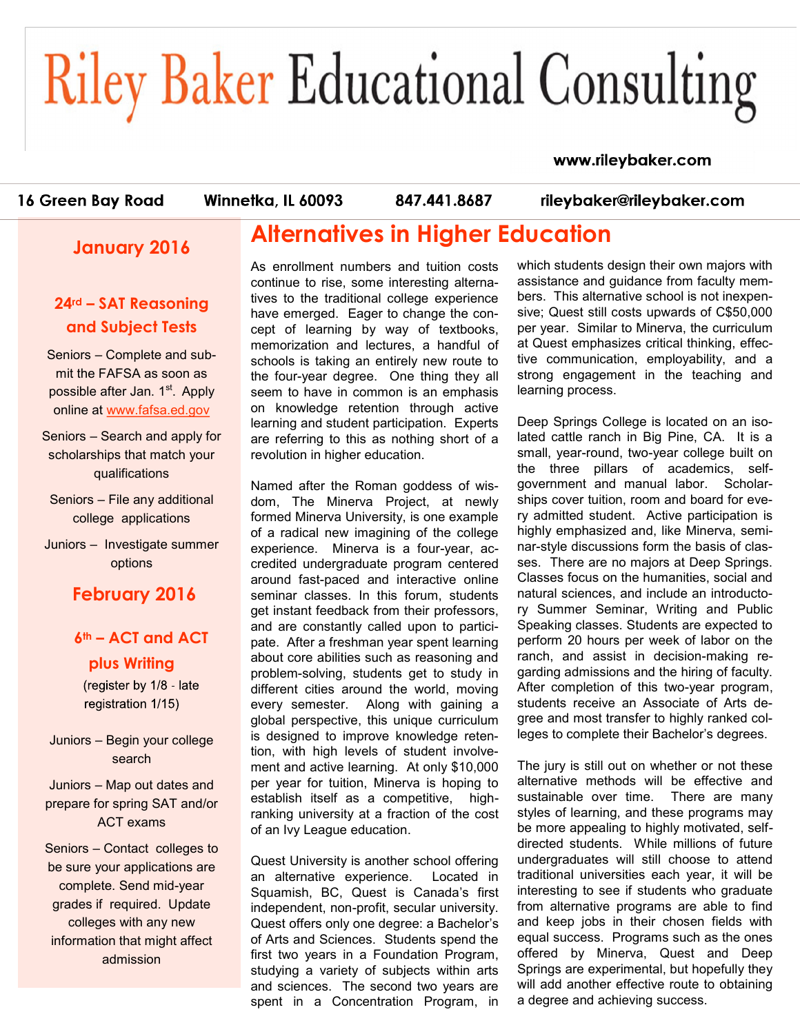# **Riley Baker Educational Consulting**

#### www.rileybaker.com

16 Green Bay Road

Winnetka, IL 60093

847.441.8687

rileybaker@rileybaker.com

#### **January 2016**

#### **24rd – SAT Reasoning and Subject Tests**

Seniors – Complete and submit the FAFSA as soon as possible after Jan. 1<sup>st</sup>. Apply online at [www.fafsa.ed.gov](http://www.fafsa.ed.gov)

Seniors – Search and apply for scholarships that match your qualifications

Seniors – File any additional college applications

Juniors – Investigate summer options

**February 2016**

#### **6th – ACT and ACT plus Writing**

(register by 1/8 - late registration 1/15)

Juniors – Begin your college search

Juniors – Map out dates and prepare for spring SAT and/or ACT exams

Seniors – Contact colleges to be sure your applications are complete. Send mid-year grades if required. Update colleges with any new information that might affect admission

### **Alternatives in Higher Education**

As enrollment numbers and tuition costs continue to rise, some interesting alternatives to the traditional college experience have emerged. Eager to change the concept of learning by way of textbooks, memorization and lectures, a handful of schools is taking an entirely new route to the four-year degree. One thing they all seem to have in common is an emphasis on knowledge retention through active learning and student participation. Experts are referring to this as nothing short of a revolution in higher education.

Named after the Roman goddess of wisdom, The Minerva Project, at newly formed Minerva University, is one example of a radical new imagining of the college experience. Minerva is a four-year, accredited undergraduate program centered around fast-paced and interactive online seminar classes. In this forum, students get instant feedback from their professors, and are constantly called upon to participate. After a freshman year spent learning about core abilities such as reasoning and problem-solving, students get to study in different cities around the world, moving every semester. Along with gaining a global perspective, this unique curriculum is designed to improve knowledge retention, with high levels of student involvement and active learning. At only \$10,000 per year for tuition, Minerva is hoping to establish itself as a competitive, highranking university at a fraction of the cost of an Ivy League education.

Quest University is another school offering an alternative experience. Located in Squamish, BC, Quest is Canada's first independent, non-profit, secular university. Quest offers only one degree: a Bachelor's of Arts and Sciences. Students spend the first two years in a Foundation Program, studying a variety of subjects within arts and sciences. The second two years are spent in a Concentration Program, in

which students design their own majors with assistance and guidance from faculty members. This alternative school is not inexpensive; Quest still costs upwards of C\$50,000 per year. Similar to Minerva, the curriculum at Quest emphasizes critical thinking, effective communication, employability, and a strong engagement in the teaching and learning process.

Deep Springs College is located on an isolated cattle ranch in Big Pine, CA. It is a small, year-round, two-year college built on the three pillars of academics, selfgovernment and manual labor. Scholarships cover tuition, room and board for every admitted student. Active participation is highly emphasized and, like Minerva, seminar-style discussions form the basis of classes. There are no majors at Deep Springs. Classes focus on the humanities, social and natural sciences, and include an introductory Summer Seminar, Writing and Public Speaking classes. Students are expected to perform 20 hours per week of labor on the ranch, and assist in decision-making regarding admissions and the hiring of faculty. After completion of this two-year program, students receive an Associate of Arts degree and most transfer to highly ranked colleges to complete their Bachelor's degrees.

The jury is still out on whether or not these alternative methods will be effective and sustainable over time. There are many styles of learning, and these programs may be more appealing to highly motivated, selfdirected students. While millions of future undergraduates will still choose to attend traditional universities each year, it will be interesting to see if students who graduate from alternative programs are able to find and keep jobs in their chosen fields with equal success. Programs such as the ones offered by Minerva, Quest and Deep Springs are experimental, but hopefully they will add another effective route to obtaining a degree and achieving success.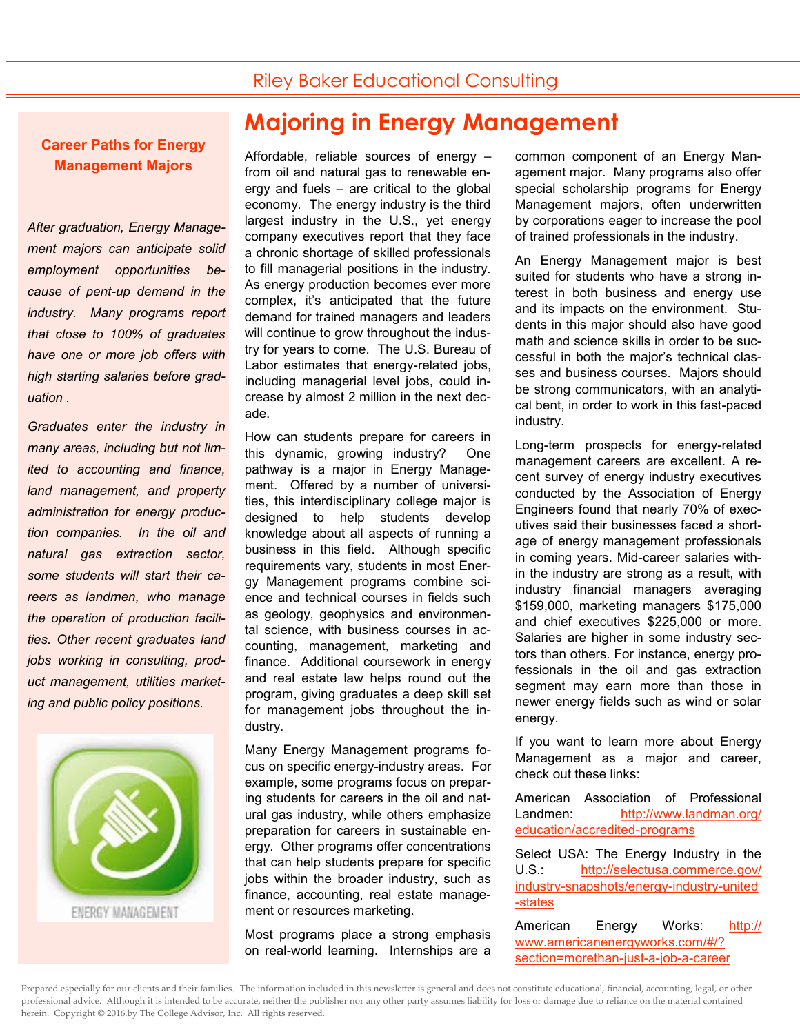#### Riley Baker Educational Consulting

**Career Paths for Energy Management Majors**

*After graduation, Energy Management majors can anticipate solid employment opportunities because of pent-up demand in the industry. Many programs report that close to 100% of graduates have one or more job offers with high starting salaries before graduation .* 

*Graduates enter the industry in many areas, including but not limited to accounting and finance, land management, and property administration for energy production companies. In the oil and natural gas extraction sector, some students will start their careers as landmen, who manage the operation of production facilities. Other recent graduates land jobs working in consulting, product management, utilities marketing and public policy positions.*



## **Majoring in Energy Management**

Affordable, reliable sources of energy – from oil and natural gas to renewable energy and fuels – are critical to the global economy. The energy industry is the third largest industry in the U.S., yet energy company executives report that they face a chronic shortage of skilled professionals to fill managerial positions in the industry. As energy production becomes ever more complex, it's anticipated that the future demand for trained managers and leaders will continue to grow throughout the industry for years to come. The U.S. Bureau of Labor estimates that energy-related jobs, including managerial level jobs, could increase by almost 2 million in the next decade.

How can students prepare for careers in this dynamic, growing industry? One pathway is a major in Energy Management. Offered by a number of universities, this interdisciplinary college major is designed to help students develop knowledge about all aspects of running a business in this field. Although specific requirements vary, students in most Energy Management programs combine science and technical courses in fields such as geology, geophysics and environmental science, with business courses in accounting, management, marketing and finance. Additional coursework in energy and real estate law helps round out the program, giving graduates a deep skill set for management jobs throughout the industry.

Many Energy Management programs focus on specific energy-industry areas. For example, some programs focus on preparing students for careers in the oil and natural gas industry, while others emphasize preparation for careers in sustainable energy. Other programs offer concentrations that can help students prepare for specific jobs within the broader industry, such as finance, accounting, real estate management or resources marketing.

Most programs place a strong emphasis on real-world learning. Internships are a

common component of an Energy Management major. Many programs also offer special scholarship programs for Energy Management majors, often underwritten by corporations eager to increase the pool of trained professionals in the industry.

An Energy Management major is best suited for students who have a strong interest in both business and energy use and its impacts on the environment. Students in this major should also have good math and science skills in order to be successful in both the major's technical classes and business courses. Majors should be strong communicators, with an analytical bent, in order to work in this fast-paced industry.

Long-term prospects for energy-related management careers are excellent. A recent survey of energy industry executives conducted by the Association of Energy Engineers found that nearly 70% of executives said their businesses faced a shortage of energy management professionals in coming years. Mid-career salaries within the industry are strong as a result, with industry financial managers averaging \$159,000, marketing managers \$175,000 and chief executives \$225,000 or more. Salaries are higher in some industry sectors than others. For instance, energy professionals in the oil and gas extraction segment may earn more than those in newer energy fields such as wind or solar energy.

If you want to learn more about Energy Management as a major and career, check out these links:

American Association of Professional Landmen: [http://www.landman.org/](file:///C:/Users/admin/Documents/Bedrock docs) [education/accredited](file:///C:/Users/admin/Documents/Bedrock docs)-programs

Select USA: The Energy Industry in the U.S.: [http://selectusa.commerce.gov/](http://selectusa.commerce.gov/industry-snapshots/energy-industry-united-states) industry-[snapshots/energy](http://selectusa.commerce.gov/industry-snapshots/energy-industry-united-states)-industry-united -[states](http://selectusa.commerce.gov/industry-snapshots/energy-industry-united-states)

American Energy Works: [http://](http://www.americanenergyworks.com/#/?section=morethan-just-a-job-a-career) [www.americanenergyworks.com/#/?](http://www.americanenergyworks.com/#/?section=morethan-just-a-job-a-career) [section=morethan](http://www.americanenergyworks.com/#/?section=morethan-just-a-job-a-career)-just-a-job-a-career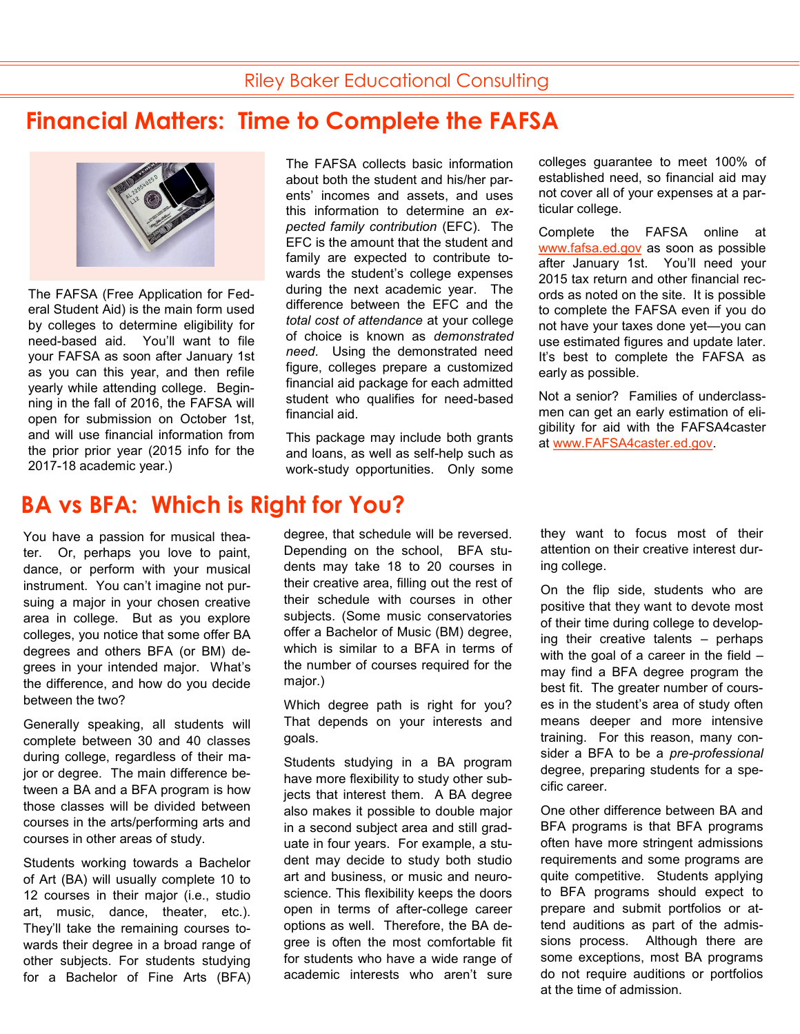## **Financial Matters: Time to Complete the FAFSA**



The FAFSA (Free Application for Federal Student Aid) is the main form used by colleges to determine eligibility for need-based aid. You'll want to file your FAFSA as soon after January 1st as you can this year, and then refile yearly while attending college. Beginning in the fall of 2016, the FAFSA will open for submission on October 1st, and will use financial information from the prior prior year (2015 info for the 2017-18 academic year.)

### **BA vs BFA: Which is Right for You?**

You have a passion for musical theater. Or, perhaps you love to paint, dance, or perform with your musical instrument. You can't imagine not pursuing a major in your chosen creative area in college. But as you explore colleges, you notice that some offer BA degrees and others BFA (or BM) degrees in your intended major. What's the difference, and how do you decide between the two?

Generally speaking, all students will complete between 30 and 40 classes during college, regardless of their major or degree. The main difference between a BA and a BFA program is how those classes will be divided between courses in the arts/performing arts and courses in other areas of study.

Students working towards a Bachelor of Art (BA) will usually complete 10 to 12 courses in their major (i.e., studio art, music, dance, theater, etc.). They'll take the remaining courses towards their degree in a broad range of other subjects. For students studying for a Bachelor of Fine Arts (BFA)

The FAFSA collects basic information about both the student and his/her parents' incomes and assets, and uses this information to determine an *expected family contribution* (EFC). The EFC is the amount that the student and family are expected to contribute towards the student's college expenses during the next academic year. The difference between the EFC and the *total cost of attendance* at your college of choice is known as *demonstrated need*. Using the demonstrated need figure, colleges prepare a customized financial aid package for each admitted student who qualifies for need-based financial aid.

This package may include both grants and loans, as well as self-help such as work-study opportunities. Only some

degree, that schedule will be reversed. Depending on the school, BFA students may take 18 to 20 courses in their creative area, filling out the rest of their schedule with courses in other subjects. (Some music conservatories offer a Bachelor of Music (BM) degree, which is similar to a BFA in terms of the number of courses required for the major.)

Which degree path is right for you? That depends on your interests and goals.

Students studying in a BA program have more flexibility to study other subjects that interest them. A BA degree also makes it possible to double major in a second subject area and still graduate in four years. For example, a student may decide to study both studio art and business, or music and neuroscience. This flexibility keeps the doors open in terms of after-college career options as well. Therefore, the BA degree is often the most comfortable fit for students who have a wide range of academic interests who aren't sure

colleges guarantee to meet 100% of established need, so financial aid may not cover all of your expenses at a particular college.

Complete the FAFSA online at [www.fafsa.ed.gov](http://www.fafsa.ed.gov) as soon as possible after January 1st. You'll need your 2015 tax return and other financial records as noted on the site. It is possible to complete the FAFSA even if you do not have your taxes done yet—you can use estimated figures and update later. It's best to complete the FAFSA as early as possible.

Not a senior? Families of underclassmen can get an early estimation of eligibility for aid with the FAFSA4caster at [www.FAFSA4caster.ed.gov.](http://www.fafsa4caster.ed.gov)

they want to focus most of their attention on their creative interest during college.

On the flip side, students who are positive that they want to devote most of their time during college to developing their creative talents – perhaps with the goal of a career in the field – may find a BFA degree program the best fit. The greater number of courses in the student's area of study often means deeper and more intensive training. For this reason, many consider a BFA to be a *pre-professional* degree, preparing students for a specific career.

One other difference between BA and BFA programs is that BFA programs often have more stringent admissions requirements and some programs are quite competitive. Students applying to BFA programs should expect to prepare and submit portfolios or attend auditions as part of the admissions process. Although there are some exceptions, most BA programs do not require auditions or portfolios at the time of admission.